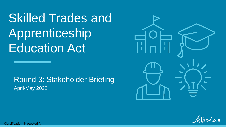Skilled Trades and Apprenticeship Education Act

Round 3: Stakeholder Briefing April/May 2022





Classification: Protected A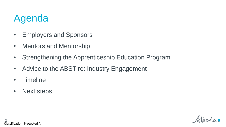## Agenda

- Employers and Sponsors
- Mentors and Mentorship
- Strengthening the Apprenticeship Education Program
- Advice to the ABST re: Industry Engagement
- Timeline
- Next steps

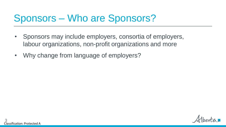## Sponsors – Who are Sponsors?

- Sponsors may include employers, consortia of employers, labour organizations, non-profit organizations and more
- Why change from language of employers?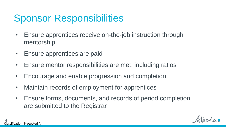## Sponsor Responsibilities

- Ensure apprentices receive on-the-job instruction through mentorship
- Ensure apprentices are paid
- Ensure mentor responsibilities are met, including ratios
- Encourage and enable progression and completion
- Maintain records of employment for apprentices
- Ensure forms, documents, and records of period completion are submitted to the Registrar

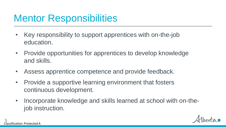#### Mentor Responsibilities

- Key responsibility to support apprentices with on-the-job education.
- Provide opportunities for apprentices to develop knowledge and skills.
- Assess apprentice competence and provide feedback.
- Provide a supportive learning environment that fosters continuous development.
- Incorporate knowledge and skills learned at school with on-thejob instruction.

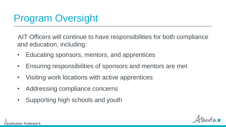# Program Oversight

AIT Officers will continue to have responsibilities for both compliance and education, including:

- Educating sponsors, mentors, and apprentices
- Ensuring responsibilities of sponsors and mentors are met
- Visiting work locations with active apprentices
- Addressing compliance concerns
- Supporting high schools and youth

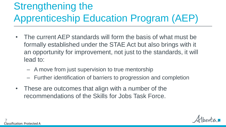# Strengthening the Apprenticeship Education Program (AEP)

- The current AEP standards will form the basis of what must be formally established under the STAE Act but also brings with it an opportunity for improvement, not just to the standards, it will lead to:
	- A move from just supervision to true mentorship
	- Further identification of barriers to progression and completion
- These are outcomes that align with a number of the recommendations of the Skills for Jobs Task Force.

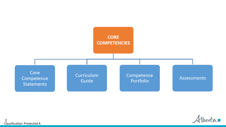

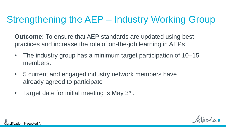## Strengthening the AEP – Industry Working Group

**Outcome:** To ensure that AEP standards are updated using best practices and increase the role of on-the-job learning in AEPs

- The industry group has a minimum target participation of 10–15 members.
- 5 current and engaged industry network members have already agreed to participate
- Target date for initial meeting is May 3rd.

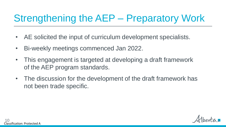# Strengthening the AEP – Preparatory Work

- AE solicited the input of curriculum development specialists.
- Bi-weekly meetings commenced Jan 2022.
- This engagement is targeted at developing a draft framework of the AEP program standards.
- The discussion for the development of the draft framework has not been trade specific.

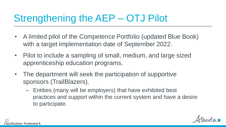# Strengthening the AEP – OTJ Pilot

- A limited pilot of the Competence Portfolio (updated Blue Book) with a target implementation date of September 2022.
- Pilot to include a sampling of small, medium, and large sized apprenticeship education programs.
- The department will seek the participation of supportive sponsors (TrailBlazers).
	- Entities (many will be employers) that have exhibited best practices and support within the current system and have a desire to participate.

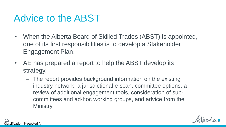#### Advice to the ABST

- When the Alberta Board of Skilled Trades (ABST) is appointed, one of its first responsibilities is to develop a Stakeholder Engagement Plan.
- AE has prepared a report to help the ABST develop its strategy.
	- The report provides background information on the existing industry network, a jurisdictional e-scan, committee options, a review of additional engagement tools, consideration of subcommittees and ad-hoc working groups, and advice from the **Ministry**

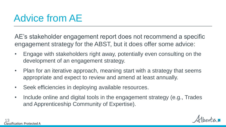#### Advice from AE

AE's stakeholder engagement report does not recommend a specific engagement strategy for the ABST, but it does offer some advice:

- Engage with stakeholders right away, potentially even consulting on the development of an engagement strategy.
- Plan for an iterative approach, meaning start with a strategy that seems appropriate and expect to review and amend at least annually.
- Seek efficiencies in deploying available resources.
- Include online and digital tools in the engagement strategy (e.g., Trades and Apprenticeship Community of Expertise).

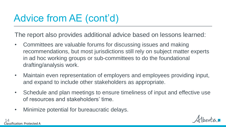# Advice from AE (cont'd)

The report also provides additional advice based on lessons learned:

- Committees are valuable forums for discussing issues and making recommendations, but most jurisdictions still rely on subject matter experts in ad hoc working groups or sub-committees to do the foundational drafting/analysis work.
- Maintain even representation of employers and employees providing input, and expand to include other stakeholders as appropriate.
- Schedule and plan meetings to ensure timeliness of input and effective use of resources and stakeholders' time.
- Minimize potential for bureaucratic delays.

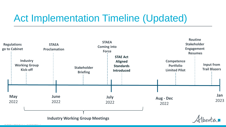#### Act Implementation Timeline (Updated)

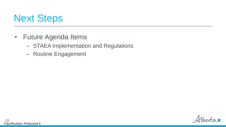

- Future Agenda Items
	- STAEA Implementation and Regulations
	- Routine Engagement